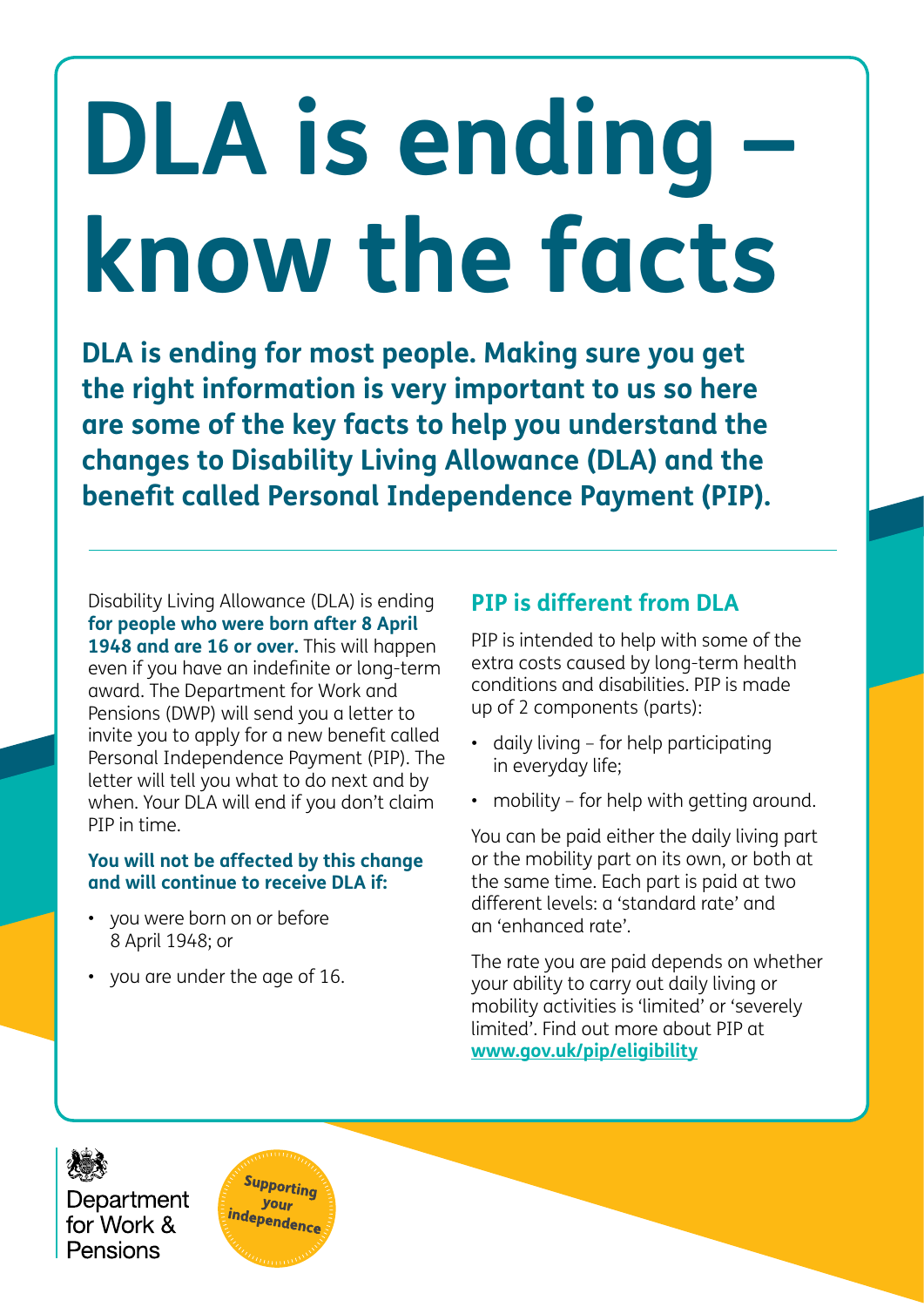# **DLA is ending know the facts**

**DLA is ending for most people. Making sure you get the right information is very important to us so here are some of the key facts to help you understand the changes to Disability Living Allowance (DLA) and the benefit called Personal Independence Payment (PIP).**

Disability Living Allowance (DLA) is ending **for people who were born after 8 April 1948 and are 16 or over.** This will happen even if you have an indefinite or long-term award. The Department for Work and Pensions (DWP) will send you a letter to invite you to apply for a new benefit called Personal Independence Payment (PIP). The letter will tell you what to do next and by when. Your DLA will end if you don't claim PIP in time.

#### **You will not be affected by this change and will continue to receive DLA if:**

- you were born on or before 8 April 1948; or
- you are under the age of 16.

# **PIP is different from DLA**

PIP is intended to help with some of the extra costs caused by long-term health conditions and disabilities. PIP is made up of 2 components (parts):

- daily living for help participating in everyday life;
- mobility for help with getting around.

You can be paid either the daily living part or the mobility part on its own, or both at the same time. Each part is paid at two different levels: a 'standard rate' and an 'enhanced rate'.

The rate you are paid depends on whether your ability to carry out daily living or mobility activities is 'limited' or 'severely limited'. Find out more about PIP at **[www.gov.uk/pip/eligibility](http://www.gov.uk/pip/eligibility)**

Department for Work & Pensions

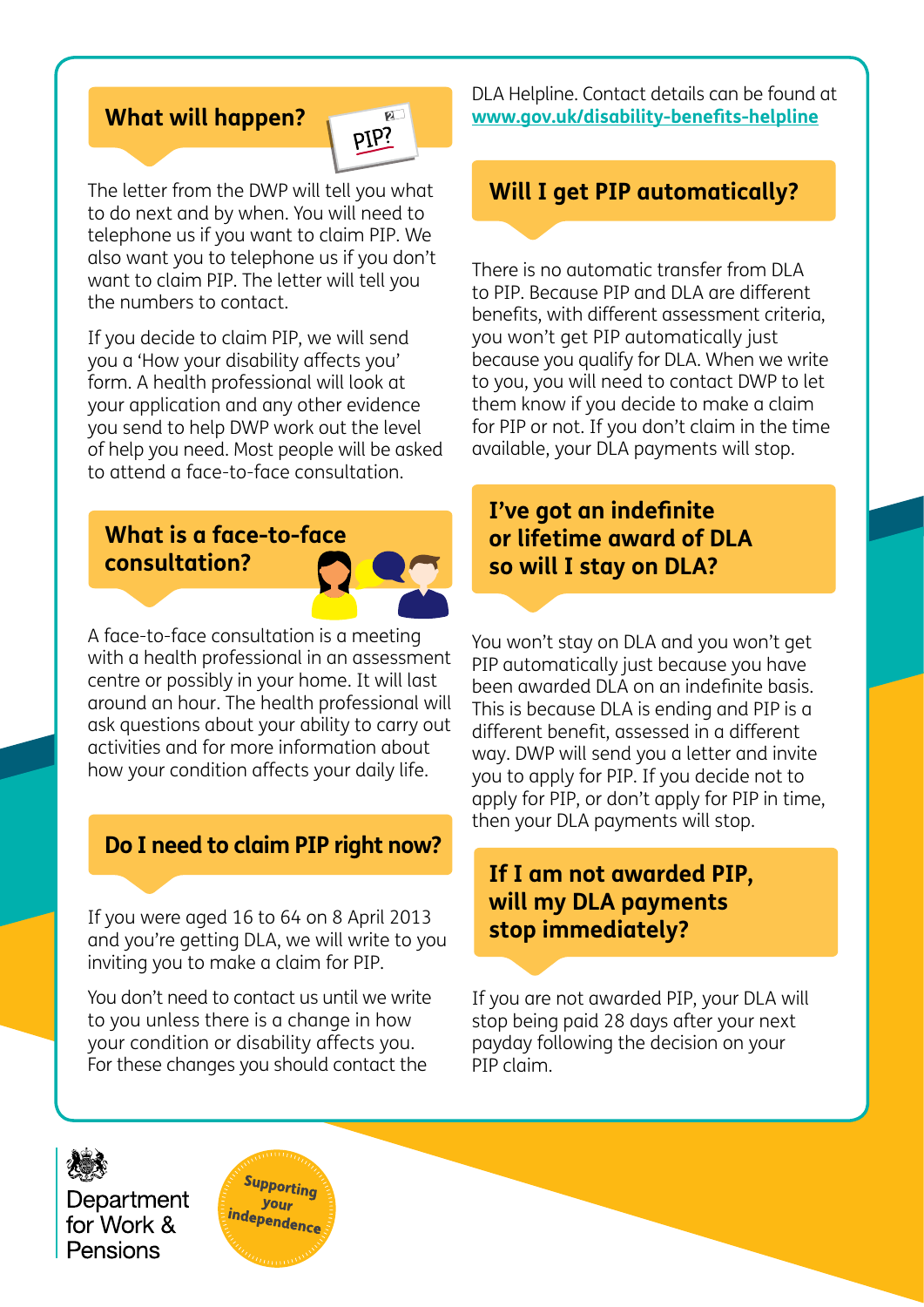#### **What will happen?**



The letter from the DWP will tell you what to do next and by when. You will need to telephone us if you want to claim PIP. We also want you to telephone us if you don't want to claim PIP. The letter will tell you the numbers to contact.

If you decide to claim PIP, we will send you a 'How your disability affects you' form. A health professional will look at your application and any other evidence you send to help DWP work out the level of help you need. Most people will be asked to attend a face-to-face consultation.

# **What is a face-to-face consultation?**



A face-to-face consultation is a meeting with a health professional in an assessment centre or possibly in your home. It will last around an hour. The health professional will ask questions about your ability to carry out activities and for more information about how your condition affects your daily life.

#### **Do I need to claim PIP right now?**

If you were aged 16 to 64 on 8 April 2013 and you're getting DLA, we will write to you inviting you to make a claim for PIP.

You don't need to contact us until we write to you unless there is a change in how your condition or disability affects you. For these changes you should contact the

DLA Helpline. Contact details can be found at **[www.gov.uk/disability-benefits-helpline](http://www.gov.uk/disability-benefits-helpline)**

#### **Will I get PIP automatically?**

There is no automatic transfer from DLA to PIP. Because PIP and DLA are different benefits, with different assessment criteria, you won't get PIP automatically just because you qualify for DLA. When we write to you, you will need to contact DWP to let them know if you decide to make a claim for PIP or not. If you don't claim in the time available, your DLA payments will stop.

#### **I've got an indefinite or lifetime award of DLA so will I stay on DLA?**

You won't stay on DLA and you won't get PIP automatically just because you have been awarded DLA on an indefinite basis. This is because DLA is ending and PIP is a different benefit, assessed in a different way. DWP will send you a letter and invite you to apply for PIP. If you decide not to apply for PIP, or don't apply for PIP in time, then your DLA payments will stop.

#### **If I am not awarded PIP, will my DLA payments stop immediately?**

If you are not awarded PIP, your DLA will stop being paid 28 days after your next payday following the decision on your PIP claim.

Department for Work & Pensions

Supporting your independence